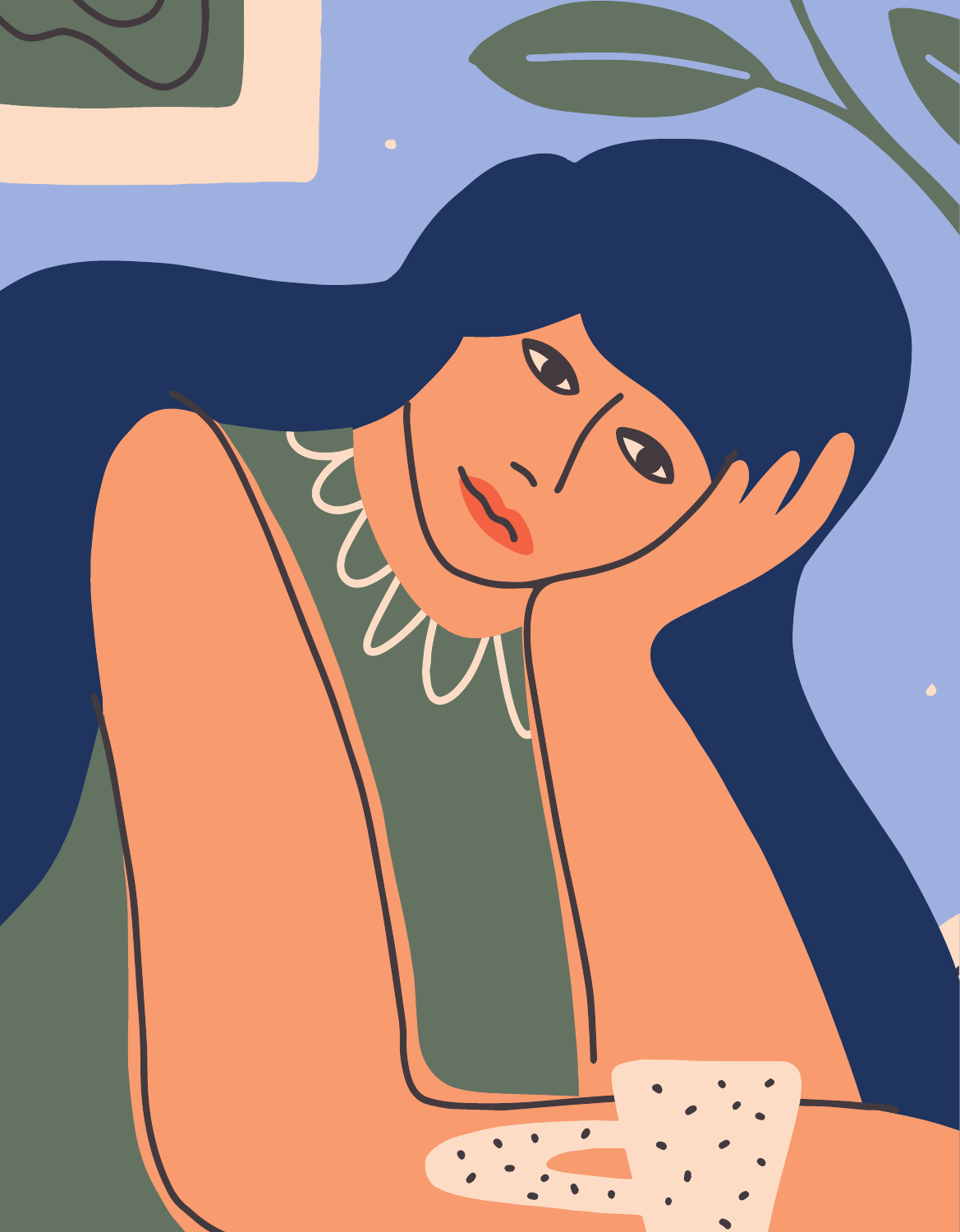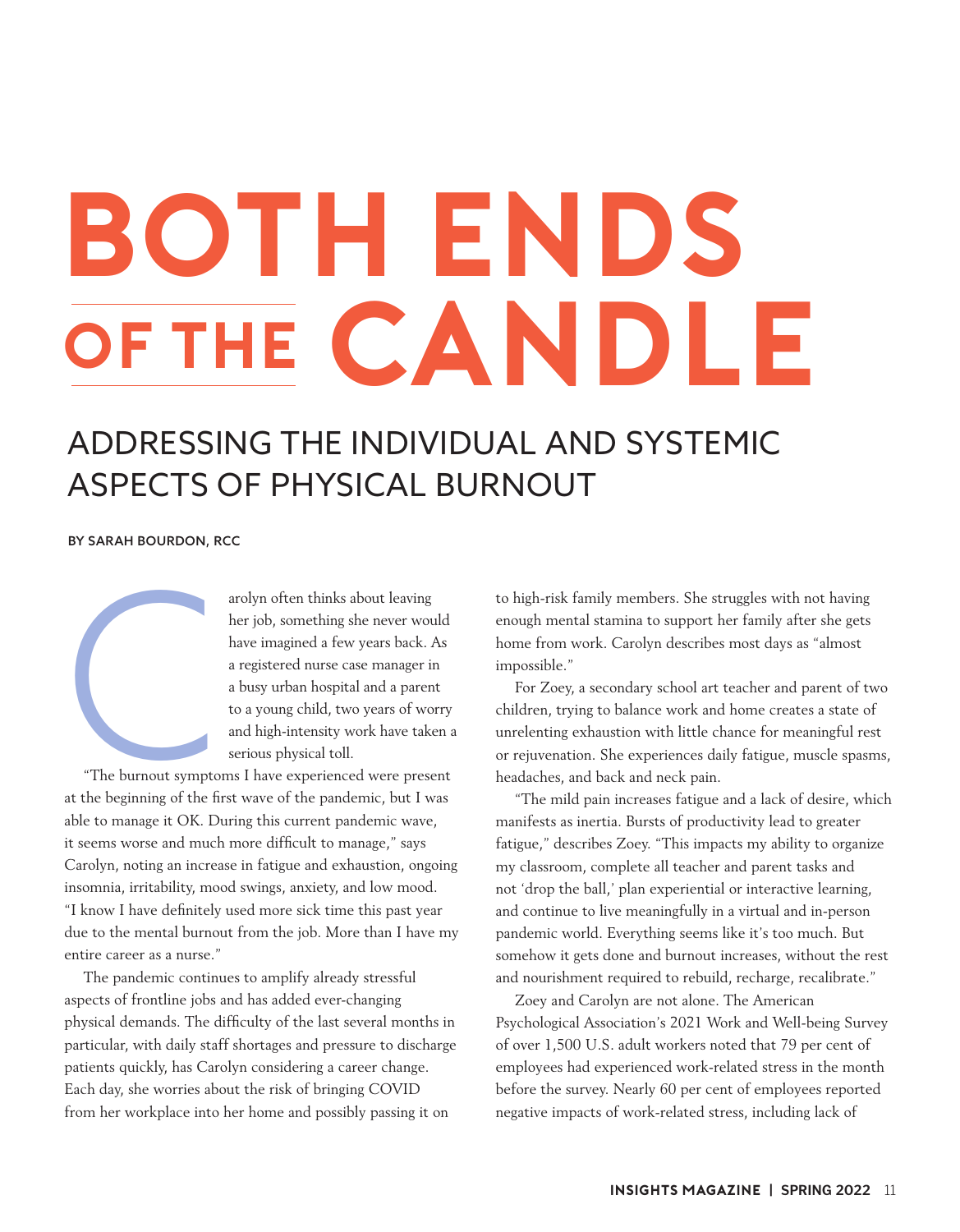# **Both ends OF THE CANDLE**

## ADDRESSING THE INDIVIDUAL AND SYSTEMIC ASPECTS OF PHYSICAL BURNOUT

BY SARAH BOURDON, RCC

arolyn often thinks about leaving<br>her job, something she never wou<br>have imagined a few years back. *A*<br>a registered nurse case manager ir<br>a busy urban hospital and a paren<br>to a young child, two years of wo<br>and high-intensi her job, something she never would have imagined a few years back. As a registered nurse case manager in a busy urban hospital and a parent to a young child, two years of worry and high-intensity work have taken a serious physical toll.

"The burnout symptoms I have experienced were present at the beginning of the first wave of the pandemic, but I was able to manage it OK. During this current pandemic wave, it seems worse and much more difficult to manage," says Carolyn, noting an increase in fatigue and exhaustion, ongoing insomnia, irritability, mood swings, anxiety, and low mood. "I know I have definitely used more sick time this past year due to the mental burnout from the job. More than I have my entire career as a nurse."

The pandemic continues to amplify already stressful aspects of frontline jobs and has added ever-changing physical demands. The difficulty of the last several months in particular, with daily staff shortages and pressure to discharge patients quickly, has Carolyn considering a career change. Each day, she worries about the risk of bringing COVID from her workplace into her home and possibly passing it on

to high-risk family members. She struggles with not having enough mental stamina to support her family after she gets home from work. Carolyn describes most days as "almost impossible."

For Zoey, a secondary school art teacher and parent of two children, trying to balance work and home creates a state of unrelenting exhaustion with little chance for meaningful rest or rejuvenation. She experiences daily fatigue, muscle spasms, headaches, and back and neck pain.

"The mild pain increases fatigue and a lack of desire, which manifests as inertia. Bursts of productivity lead to greater fatigue," describes Zoey. "This impacts my ability to organize my classroom, complete all teacher and parent tasks and not 'drop the ball,' plan experiential or interactive learning, and continue to live meaningfully in a virtual and in-person pandemic world. Everything seems like it's too much. But somehow it gets done and burnout increases, without the rest and nourishment required to rebuild, recharge, recalibrate."

Zoey and Carolyn are not alone. The American Psychological Association's 2021 Work and Well-being Survey of over 1,500 U.S. adult workers noted that 79 per cent of employees had experienced work-related stress in the month before the survey. Nearly 60 per cent of employees reported negative impacts of work-related stress, including lack of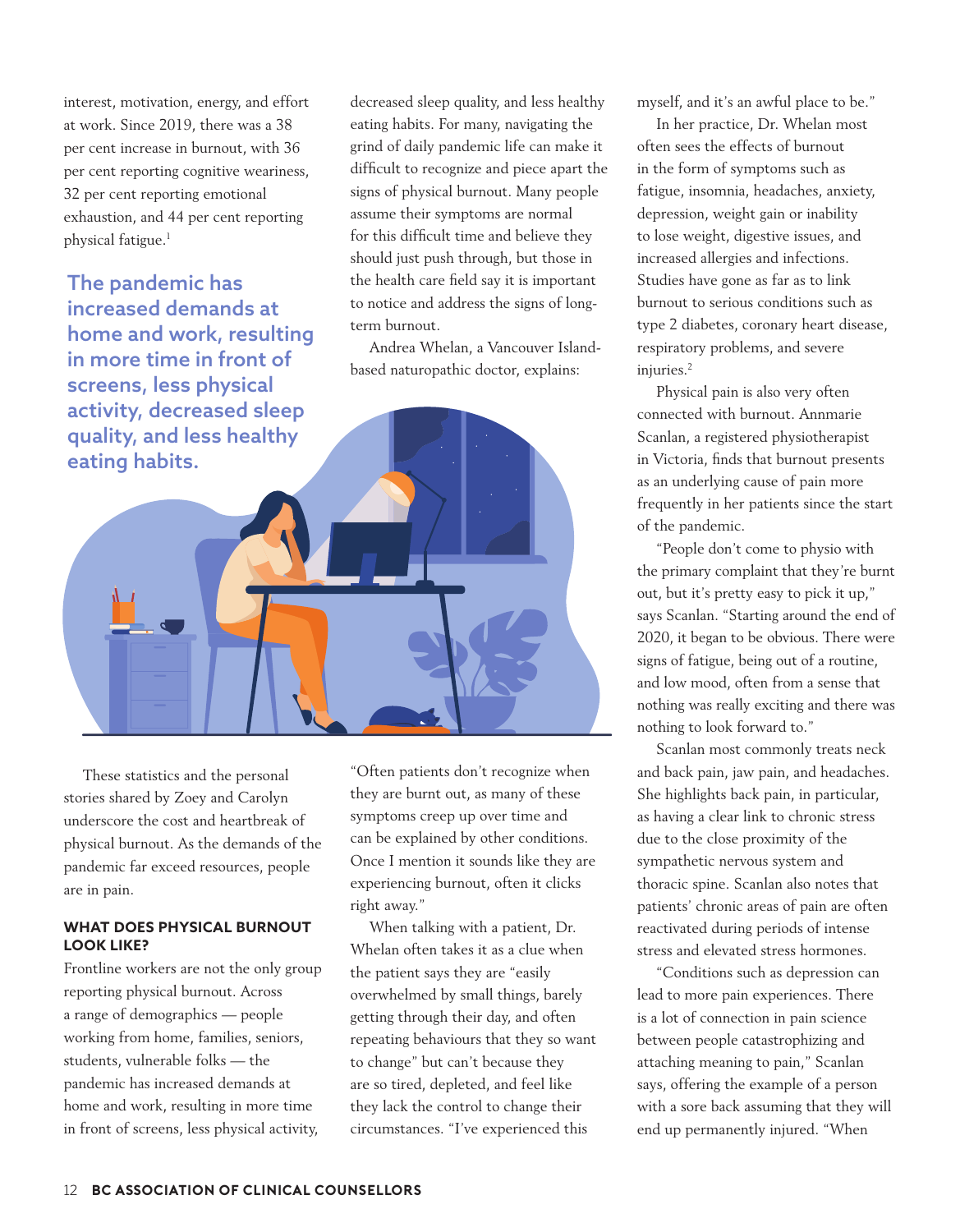interest, motivation, energy, and effort at work. Since 2019, there was a 38 per cent increase in burnout, with 36 per cent reporting cognitive weariness, 32 per cent reporting emotional exhaustion, and 44 per cent reporting physical fatigue.<sup>1</sup>

The pandemic has increased demands at home and work, resulting in more time in front of screens, less physical activity, decreased sleep eating habits.

decreased sleep quality, and less healthy eating habits. For many, navigating the grind of daily pandemic life can make it difficult to recognize and piece apart the signs of physical burnout. Many people assume their symptoms are normal for this difficult time and believe they should just push through, but those in the health care field say it is important to notice and address the signs of longterm burnout.

Andrea Whelan, a Vancouver Islandbased naturopathic doctor, explains:



These statistics and the personal stories shared by Zoey and Carolyn underscore the cost and heartbreak of physical burnout. As the demands of the pandemic far exceed resources, people are in pain.

### **WHAT DOES PHYSICAL BURNOUT LOOK LIKE?**

Frontline workers are not the only group reporting physical burnout. Across a range of demographics — people working from home, families, seniors, students, vulnerable folks — the pandemic has increased demands at home and work, resulting in more time in front of screens, less physical activity,

"Often patients don't recognize when they are burnt out, as many of these symptoms creep up over time and can be explained by other conditions. Once I mention it sounds like they are experiencing burnout, often it clicks right away."

When talking with a patient, Dr. Whelan often takes it as a clue when the patient says they are "easily overwhelmed by small things, barely getting through their day, and often repeating behaviours that they so want to change" but can't because they are so tired, depleted, and feel like they lack the control to change their circumstances. "I've experienced this

myself, and it's an awful place to be."

In her practice, Dr. Whelan most often sees the effects of burnout in the form of symptoms such as fatigue, insomnia, headaches, anxiety, depression, weight gain or inability to lose weight, digestive issues, and increased allergies and infections. Studies have gone as far as to link burnout to serious conditions such as type 2 diabetes, coronary heart disease, respiratory problems, and severe injuries.<sup>2</sup>

Physical pain is also very often connected with burnout. Annmarie Scanlan, a registered physiotherapist in Victoria, finds that burnout presents as an underlying cause of pain more frequently in her patients since the start of the pandemic.

"People don't come to physio with the primary complaint that they're burnt out, but it's pretty easy to pick it up," says Scanlan. "Starting around the end of 2020, it began to be obvious. There were signs of fatigue, being out of a routine, and low mood, often from a sense that nothing was really exciting and there was nothing to look forward to."

Scanlan most commonly treats neck and back pain, jaw pain, and headaches. She highlights back pain, in particular, as having a clear link to chronic stress due to the close proximity of the sympathetic nervous system and thoracic spine. Scanlan also notes that patients' chronic areas of pain are often reactivated during periods of intense stress and elevated stress hormones.

"Conditions such as depression can lead to more pain experiences. There is a lot of connection in pain science between people catastrophizing and attaching meaning to pain," Scanlan says, offering the example of a person with a sore back assuming that they will end up permanently injured. "When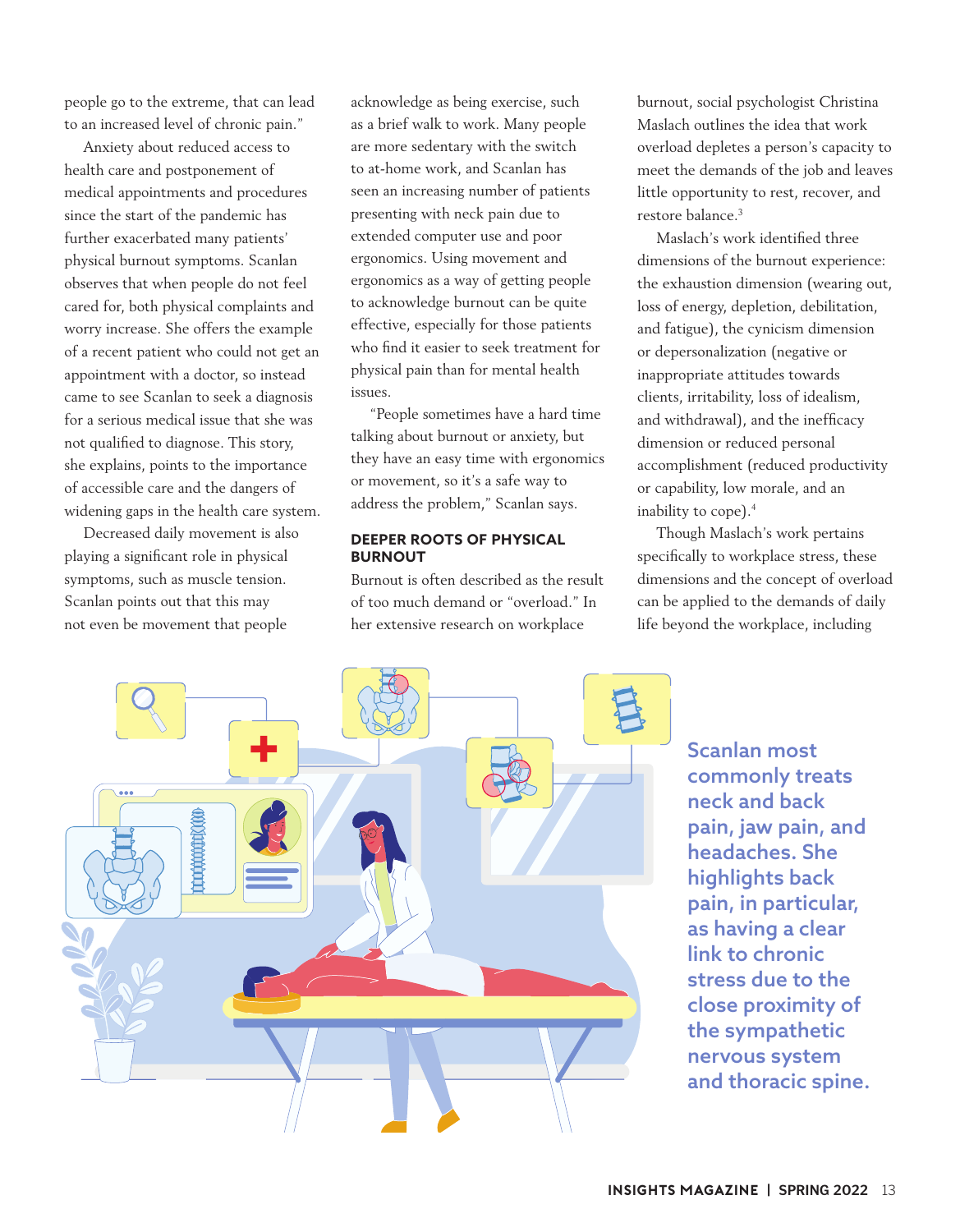people go to the extreme, that can lead to an increased level of chronic pain."

Anxiety about reduced access to health care and postponement of medical appointments and procedures since the start of the pandemic has further exacerbated many patients' physical burnout symptoms. Scanlan observes that when people do not feel cared for, both physical complaints and worry increase. She offers the example of a recent patient who could not get an appointment with a doctor, so instead came to see Scanlan to seek a diagnosis for a serious medical issue that she was not qualified to diagnose. This story, she explains, points to the importance of accessible care and the dangers of widening gaps in the health care system.

Decreased daily movement is also playing a significant role in physical symptoms, such as muscle tension. Scanlan points out that this may not even be movement that people

acknowledge as being exercise, such as a brief walk to work. Many people are more sedentary with the switch to at-home work, and Scanlan has seen an increasing number of patients presenting with neck pain due to extended computer use and poor ergonomics. Using movement and ergonomics as a way of getting people to acknowledge burnout can be quite effective, especially for those patients who find it easier to seek treatment for physical pain than for mental health issues.

"People sometimes have a hard time talking about burnout or anxiety, but they have an easy time with ergonomics or movement, so it's a safe way to address the problem," Scanlan says.

#### **DEEPER ROOTS OF PHYSICAL BURNOUT**

Burnout is often described as the result of too much demand or "overload." In her extensive research on workplace

burnout, social psychologist Christina Maslach outlines the idea that work overload depletes a person's capacity to meet the demands of the job and leaves little opportunity to rest, recover, and restore balance.3

Maslach's work identified three dimensions of the burnout experience: the exhaustion dimension (wearing out, loss of energy, depletion, debilitation, and fatigue), the cynicism dimension or depersonalization (negative or inappropriate attitudes towards clients, irritability, loss of idealism, and withdrawal), and the inefficacy dimension or reduced personal accomplishment (reduced productivity or capability, low morale, and an inability to cope).4

Though Maslach's work pertains specifically to workplace stress, these dimensions and the concept of overload can be applied to the demands of daily life beyond the workplace, including



Scanlan most commonly treats neck and back pain, jaw pain, and headaches. She highlights back pain, in particular, as having a clear link to chronic stress due to the close proximity of the sympathetic nervous system and thoracic spine.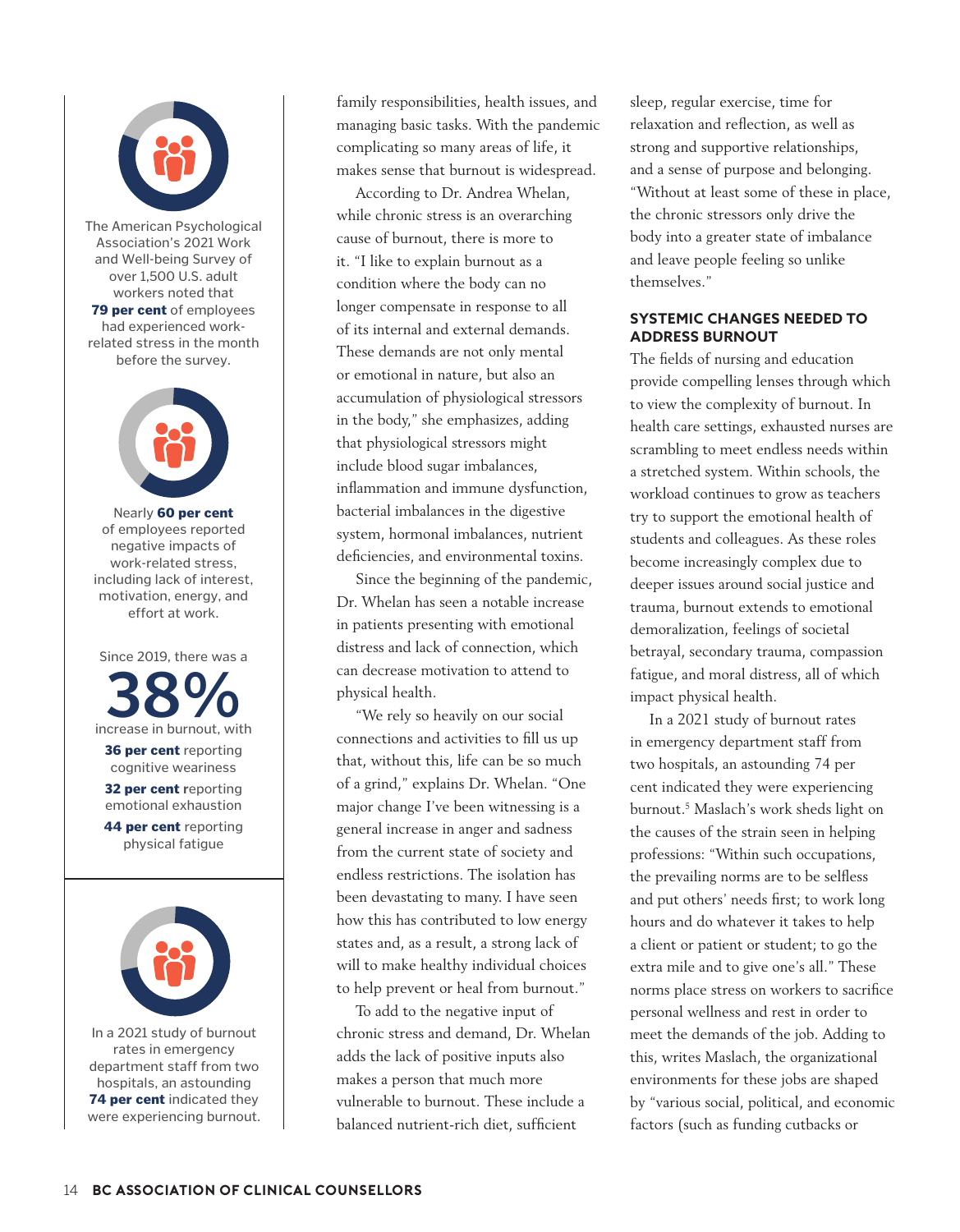

The American Psychological Association's 2021 Work and Well-being Survey of over 1,500 U.S. adult workers noted that 79 per cent of employees had experienced workrelated stress in the month before the survey.



Nearly 60 per cent of employees reported negative impacts of work-related stress, including lack of interest, motivation, energy, and effort at work.

Since 2019, there was a

increase in burnout, with **38%**

36 per cent reporting cognitive weariness

32 per cent **r**eporting emotional exhaustion

44 per cent reporting physical fatigue



In a 2021 study of burnout rates in emergency department staff from two hospitals, an astounding 74 per cent indicated they were experiencing burnout. family responsibilities, health issues, and managing basic tasks. With the pandemic complicating so many areas of life, it makes sense that burnout is widespread.

According to Dr. Andrea Whelan, while chronic stress is an overarching cause of burnout, there is more to it. "I like to explain burnout as a condition where the body can no longer compensate in response to all of its internal and external demands. These demands are not only mental or emotional in nature, but also an accumulation of physiological stressors in the body," she emphasizes, adding that physiological stressors might include blood sugar imbalances, inflammation and immune dysfunction, bacterial imbalances in the digestive system, hormonal imbalances, nutrient deficiencies, and environmental toxins.

Since the beginning of the pandemic, Dr. Whelan has seen a notable increase in patients presenting with emotional distress and lack of connection, which can decrease motivation to attend to physical health.

"We rely so heavily on our social connections and activities to fill us up that, without this, life can be so much of a grind," explains Dr. Whelan. "One major change I've been witnessing is a general increase in anger and sadness from the current state of society and endless restrictions. The isolation has been devastating to many. I have seen how this has contributed to low energy states and, as a result, a strong lack of will to make healthy individual choices to help prevent or heal from burnout."

To add to the negative input of chronic stress and demand, Dr. Whelan adds the lack of positive inputs also makes a person that much more vulnerable to burnout. These include a balanced nutrient-rich diet, sufficient

sleep, regular exercise, time for relaxation and reflection, as well as strong and supportive relationships, and a sense of purpose and belonging. "Without at least some of these in place, the chronic stressors only drive the body into a greater state of imbalance and leave people feeling so unlike themselves."

### **SYSTEMIC CHANGES NEEDED TO ADDRESS BURNOUT**

The fields of nursing and education provide compelling lenses through which to view the complexity of burnout. In health care settings, exhausted nurses are scrambling to meet endless needs within a stretched system. Within schools, the workload continues to grow as teachers try to support the emotional health of students and colleagues. As these roles become increasingly complex due to deeper issues around social justice and trauma, burnout extends to emotional demoralization, feelings of societal betrayal, secondary trauma, compassion fatigue, and moral distress, all of which impact physical health.

In a 2021 study of burnout rates in emergency department staff from two hospitals, an astounding 74 per cent indicated they were experiencing burnout.5 Maslach's work sheds light on the causes of the strain seen in helping professions: "Within such occupations, the prevailing norms are to be selfless and put others' needs first; to work long hours and do whatever it takes to help a client or patient or student; to go the extra mile and to give one's all." These norms place stress on workers to sacrifice personal wellness and rest in order to meet the demands of the job. Adding to this, writes Maslach, the organizational environments for these jobs are shaped by "various social, political, and economic factors (such as funding cutbacks or